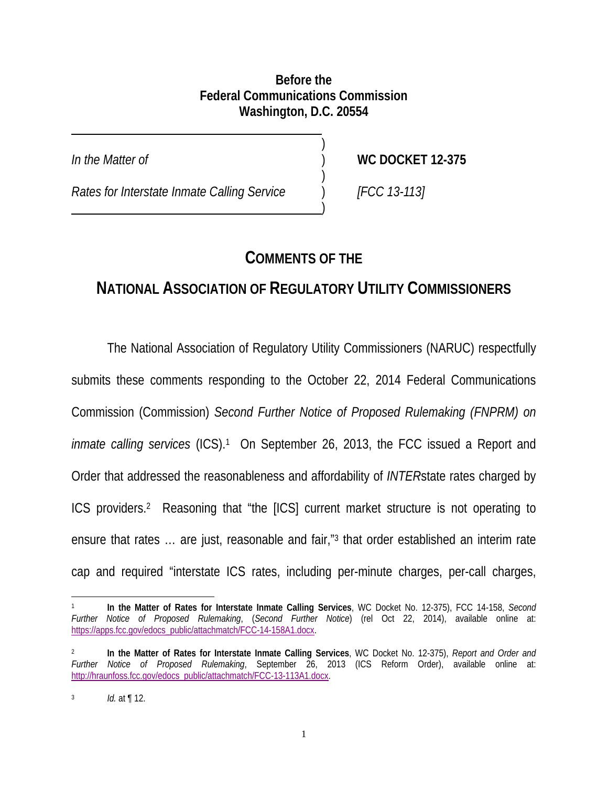#### **Before the Federal Communications Commission Washington, D.C. 20554**

 $\overline{a}$ 

*In the Matter of* ) **WC DOCKET 12-375**

*Rates for Interstate Inmate Calling Service* ) *[FCC 13-113]* 

 $)$ 

 $)$ 

 $\overline{\phantom{a}}$ 

## **COMMENTS OF THE**

# **NATIONAL ASSOCIATION OF REGULATORY UTILITY COMMISSIONERS**

The National Association of Regulatory Utility Commissioners (NARUC) respectfully submits these comments responding to the October 22, 2014 Federal Communications Commission (Commission) *Second Further Notice of Proposed Rulemaking (FNPRM) on inmate calling services* (ICS).<sup>1</sup> On September 26, 2013, the FCC issued a Report and Order that addressed the reasonableness and affordability of *INTER*state rates charged by ICS providers.2 Reasoning that "the [ICS] current market structure is not operating to ensure that rates … are just, reasonable and fair,"3 that order established an interim rate cap and required "interstate ICS rates, including per-minute charges, per-call charges,

 $\overline{\phantom{a}}$ 1 **In the Matter of Rates for Interstate Inmate Calling Services**, WC Docket No. 12-375), FCC 14-158, *Second Further Notice of Proposed Rulemaking*, (*Second Further Notice*) (rel Oct 22, 2014), available online at: https://apps.fcc.gov/edocs\_public/attachmatch/FCC-14-158A1.docx.

<sup>2</sup> **In the Matter of Rates for Interstate Inmate Calling Services**, WC Docket No. 12-375), *Report and Order and Further Notice of Proposed Rulemaking*, September 26, 2013 (ICS Reform Order), available online at: http://hraunfoss.fcc.gov/edocs\_public/attachmatch/FCC-13-113A1.docx.

<sup>3</sup> *Id.* at ¶ 12.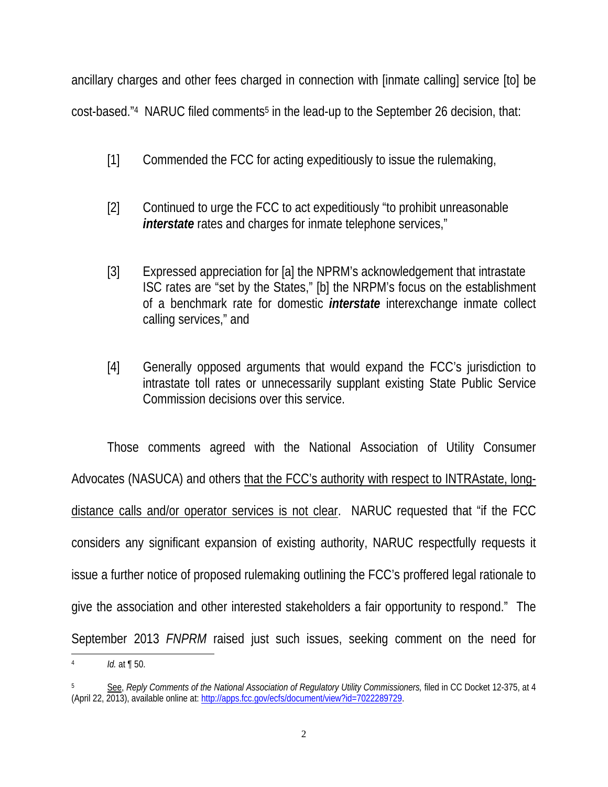ancillary charges and other fees charged in connection with [inmate calling] service [to] be cost-based."4 NARUC filed comments5 in the lead-up to the September 26 decision, that:

- [1] Commended the FCC for acting expeditiously to issue the rulemaking,
- [2] Continued to urge the FCC to act expeditiously "to prohibit unreasonable *interstate* rates and charges for inmate telephone services,"
- [3] Expressed appreciation for [a] the NPRM's acknowledgement that intrastate ISC rates are "set by the States," [b] the NRPM's focus on the establishment of a benchmark rate for domestic *interstate* interexchange inmate collect calling services," and
- [4] Generally opposed arguments that would expand the FCC's jurisdiction to intrastate toll rates or unnecessarily supplant existing State Public Service Commission decisions over this service.

Those comments agreed with the National Association of Utility Consumer Advocates (NASUCA) and others that the FCC's authority with respect to INTRAstate, longdistance calls and/or operator services is not clear. NARUC requested that "if the FCC considers any significant expansion of existing authority, NARUC respectfully requests it issue a further notice of proposed rulemaking outlining the FCC's proffered legal rationale to give the association and other interested stakeholders a fair opportunity to respond." The September 2013 *FNPRM* raised just such issues, seeking comment on the need for

*Id.* at **¶** 50.

<sup>5</sup> See, *Reply Comments of the National Association of Regulatory Utility Commissioners,* filed in CC Docket 12-375, at 4 (April 22, 2013), available online at: http://apps.fcc.gov/ecfs/document/view?id=7022289729.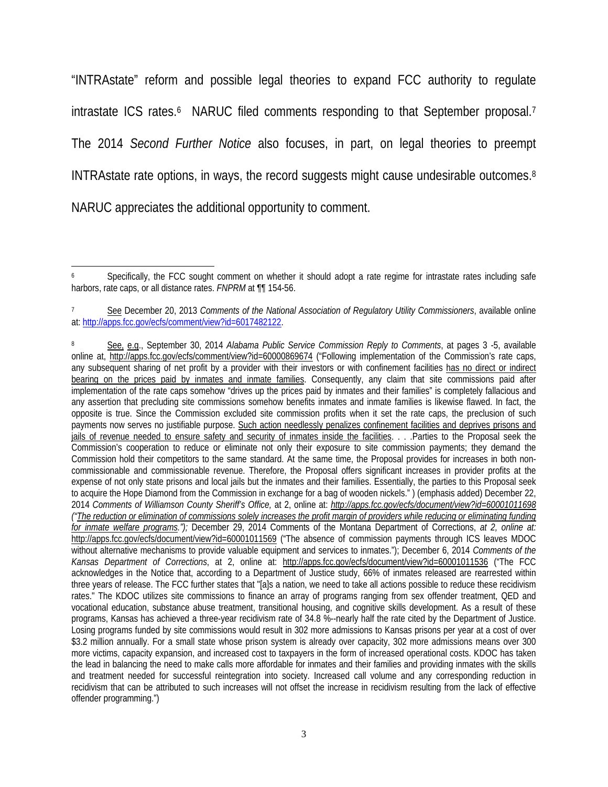"INTRAstate" reform and possible legal theories to expand FCC authority to regulate intrastate ICS rates.<sup>6</sup> NARUC filed comments responding to that September proposal.<sup>7</sup> The 2014 *Second Further Notice* also focuses, in part, on legal theories to preempt INTRAstate rate options, in ways, the record suggests might cause undesirable outcomes.8 NARUC appreciates the additional opportunity to comment.

 $\overline{\phantom{a}}$ Specifically, the FCC sought comment on whether it should adopt a rate regime for intrastate rates including safe harbors, rate caps, or all distance rates. *FNPRM* at ¶¶ 154-56.

See December 20, 2013 *Comments of the National Association of Regulatory Utility Commissioners*, available online at: http://apps.fcc.gov/ecfs/comment/view?id=6017482122.

<sup>8</sup> See, e.g., September 30, 2014 *Alabama Public Service Commission Reply to Comments*, at pages 3 -5, available online at, http://apps.fcc.gov/ecfs/comment/view?id=60000869674 ("Following implementation of the Commission's rate caps, any subsequent sharing of net profit by a provider with their investors or with confinement facilities has no direct or indirect bearing on the prices paid by inmates and inmate families. Consequently, any claim that site commissions paid after implementation of the rate caps somehow "drives up the prices paid by inmates and their families" is completely fallacious and any assertion that precluding site commissions somehow benefits inmates and inmate families is likewise flawed. In fact, the opposite is true. Since the Commission excluded site commission profits when it set the rate caps, the preclusion of such payments now serves no justifiable purpose. Such action needlessly penalizes confinement facilities and deprives prisons and jails of revenue needed to ensure safety and security of inmates inside the facilities. . . .Parties to the Proposal seek the Commission's cooperation to reduce or eliminate not only their exposure to site commission payments; they demand the Commission hold their competitors to the same standard. At the same time, the Proposal provides for increases in both noncommissionable and commissionable revenue. Therefore, the Proposal offers significant increases in provider profits at the expense of not only state prisons and local jails but the inmates and their families. Essentially, the parties to this Proposal seek to acquire the Hope Diamond from the Commission in exchange for a bag of wooden nickels." ) (emphasis added) December 22, 2014 *Comments of Williamson County Sheriff's Office,* at 2, online at: *http://apps.fcc.gov/ecfs/document/view?id=60001011698 ("The reduction or elimination of commissions solely increases the profit margin of providers while reducing or eliminating funding for inmate welfare programs.");* December 29, 2014 Comments of the Montana Department of Corrections, *at 2, online at:*  http://apps.fcc.gov/ecfs/document/view?id=60001011569 ("The absence of commission payments through ICS leaves MDOC without alternative mechanisms to provide valuable equipment and services to inmates."); December 6, 2014 *Comments of the Kansas Department of Corrections*, at 2, online at: http://apps.fcc.gov/ecfs/document/view?id=60001011536 ("The FCC acknowledges in the Notice that, according to a Department of Justice study, 66% of inmates released are rearrested within three years of release. The FCC further states that "[a]s a nation, we need to take all actions possible to reduce these recidivism rates." The KDOC utilizes site commissions to finance an array of programs ranging from sex offender treatment, QED and vocational education, substance abuse treatment, transitional housing, and cognitive skills development. As a result of these programs, Kansas has achieved a three-year recidivism rate of 34.8 %--nearly half the rate cited by the Department of Justice. Losing programs funded by site commissions would result in 302 more admissions to Kansas prisons per year at a cost of over \$3.2 million annually. For a small state whose prison system is already over capacity, 302 more admissions means over 300 more victims, capacity expansion, and increased cost to taxpayers in the form of increased operational costs. KDOC has taken the lead in balancing the need to make calls more affordable for inmates and their families and providing inmates with the skills and treatment needed for successful reintegration into society. Increased call volume and any corresponding reduction in recidivism that can be attributed to such increases will not offset the increase in recidivism resulting from the lack of effective offender programming.")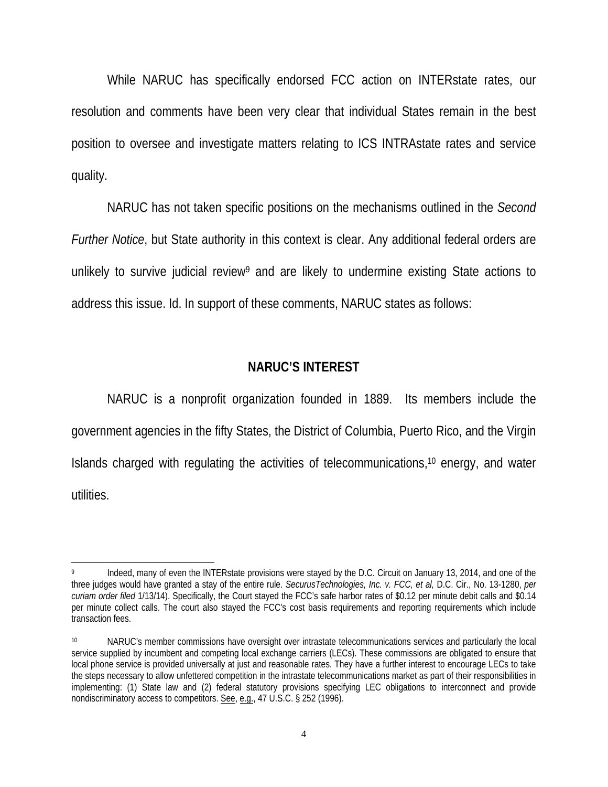While NARUC has specifically endorsed FCC action on INTERstate rates, our resolution and comments have been very clear that individual States remain in the best position to oversee and investigate matters relating to ICS INTRAstate rates and service quality.

NARUC has not taken specific positions on the mechanisms outlined in the *Second Further Notice*, but State authority in this context is clear. Any additional federal orders are unlikely to survive judicial review<sup>9</sup> and are likely to undermine existing State actions to address this issue. Id. In support of these comments, NARUC states as follows:

#### **NARUC'S INTEREST**

NARUC is a nonprofit organization founded in 1889. Its members include the government agencies in the fifty States, the District of Columbia, Puerto Rico, and the Virgin Islands charged with regulating the activities of telecommunications,10 energy, and water utilities.

 $\overline{\phantom{a}}$ Indeed, many of even the INTERstate provisions were stayed by the D.C. Circuit on January 13, 2014, and one of the three judges would have granted a stay of the entire rule. *SecurusTechnologies, Inc. v. FCC, et al,* D.C. Cir., No. 13-1280, *per curiam order filed* 1/13/14). Specifically, the Court stayed the FCC's safe harbor rates of \$0.12 per minute debit calls and \$0.14 per minute collect calls. The court also stayed the FCC's cost basis requirements and reporting requirements which include transaction fees.

<sup>10</sup> NARUC's member commissions have oversight over intrastate telecommunications services and particularly the local service supplied by incumbent and competing local exchange carriers (LECs). These commissions are obligated to ensure that local phone service is provided universally at just and reasonable rates. They have a further interest to encourage LECs to take the steps necessary to allow unfettered competition in the intrastate telecommunications market as part of their responsibilities in implementing: (1) State law and (2) federal statutory provisions specifying LEC obligations to interconnect and provide nondiscriminatory access to competitors. See, e.g., 47 U.S.C. § 252 (1996).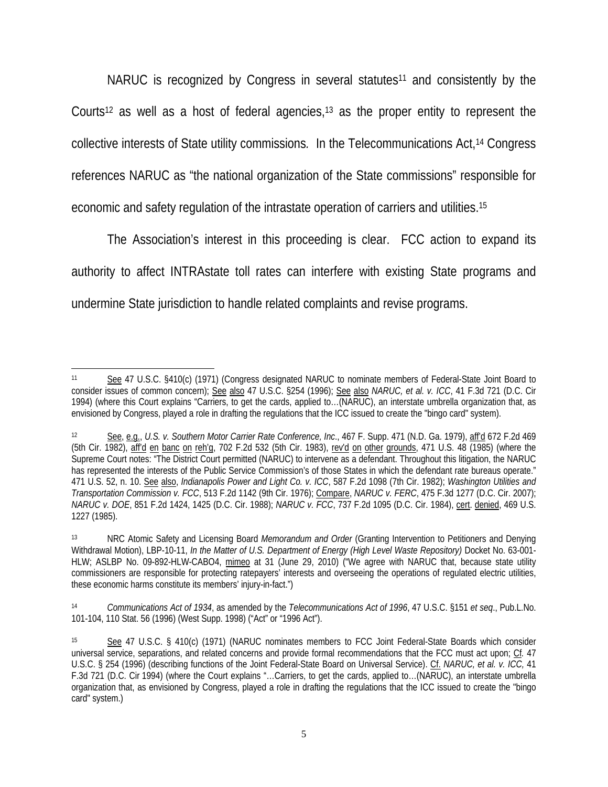NARUC is recognized by Congress in several statutes11 and consistently by the Courts<sup>12</sup> as well as a host of federal agencies,<sup>13</sup> as the proper entity to represent the collective interests of State utility commissions*.* In the Telecommunications Act,14 Congress references NARUC as "the national organization of the State commissions" responsible for economic and safety regulation of the intrastate operation of carriers and utilities.15

The Association's interest in this proceeding is clear. FCC action to expand its authority to affect INTRAstate toll rates can interfere with existing State programs and undermine State jurisdiction to handle related complaints and revise programs.

 $\overline{\phantom{a}}$ See 47 U.S.C. §410(c) (1971) (Congress designated NARUC to nominate members of Federal-State Joint Board to consider issues of common concern); See also 47 U.S.C. §254 (1996); See also *NARUC, et al. v. ICC*, 41 F.3d 721 (D.C. Cir 1994) (where this Court explains "Carriers, to get the cards, applied to…(NARUC), an interstate umbrella organization that, as envisioned by Congress, played a role in drafting the regulations that the ICC issued to create the "bingo card" system).

<sup>12</sup> See, e.g., *U.S. v. Southern Motor Carrier Rate Conference, Inc*., 467 F. Supp. 471 (N.D. Ga. 1979), aff'd 672 F.2d 469 (5th Cir. 1982), afrd en banc on reh'g, 702 F.2d 532 (5th Cir. 1983), rev'd on other grounds, 471 U.S. 48 (1985) (where the Supreme Court notes: "The District Court permitted (NARUC) to intervene as a defendant. Throughout this litigation, the NARUC has represented the interests of the Public Service Commission's of those States in which the defendant rate bureaus operate." 471 U.S. 52, n. 10. See also, *Indianapolis Power and Light Co. v. ICC*, 587 F.2d 1098 (7th Cir. 1982); *Washington Utilities and Transportation Commission v. FCC*, 513 F.2d 1142 (9th Cir. 1976); Compare, *NARUC v. FERC*, 475 F.3d 1277 (D.C. Cir. 2007); *NARUC v. DOE*, 851 F.2d 1424, 1425 (D.C. Cir. 1988); *NARUC v. FCC*, 737 F.2d 1095 (D.C. Cir. 1984), cert. denied, 469 U.S. 1227 (1985).

<sup>13</sup> NRC Atomic Safety and Licensing Board *Memorandum and Order* (Granting Intervention to Petitioners and Denying Withdrawal Motion), LBP-10-11, *In the Matter of U.S. Department of Energy (High Level Waste Repository)* Docket No. 63-001- HLW; ASLBP No. 09-892-HLW-CABO4, mimeo at 31 (June 29, 2010) ("We agree with NARUC that, because state utility commissioners are responsible for protecting ratepayers' interests and overseeing the operations of regulated electric utilities, these economic harms constitute its members' injury-in-fact.")

<sup>14</sup> *Communications Act of 1934*, as amended by the *Telecommunications Act of 1996*, 47 U.S.C. §151 *et seq*., Pub.L.No. 101-104, 110 Stat. 56 (1996) (West Supp. 1998) ("Act" or "1996 Act").

See 47 U.S.C. § 410(c) (1971) (NARUC nominates members to FCC Joint Federal-State Boards which consider universal service, separations, and related concerns and provide formal recommendations that the FCC must act upon; Cf*.* 47 U.S.C. § 254 (1996) (describing functions of the Joint Federal-State Board on Universal Service). Cf. *NARUC, et al. v. ICC,* 41 F.3d 721 (D.C. Cir 1994) (where the Court explains "…Carriers, to get the cards, applied to…(NARUC), an interstate umbrella organization that, as envisioned by Congress, played a role in drafting the regulations that the ICC issued to create the "bingo card" system.)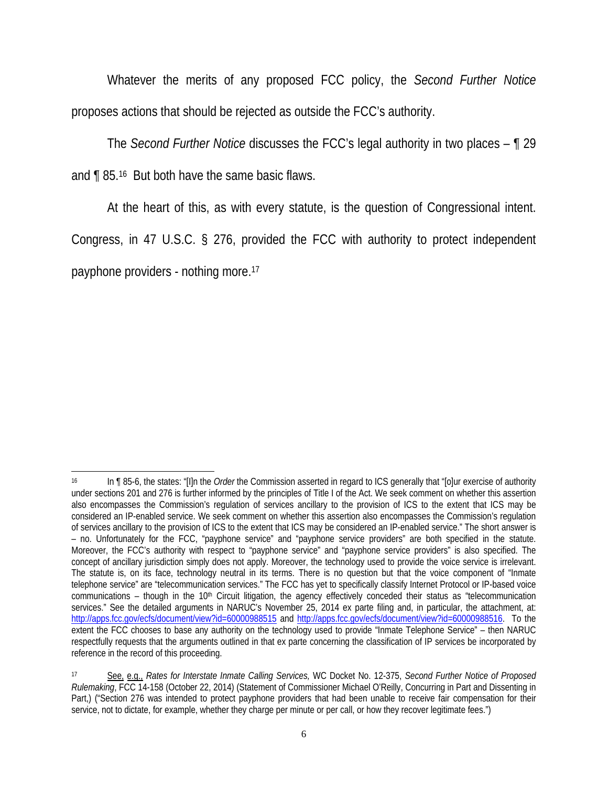Whatever the merits of any proposed FCC policy, the *Second Further Notice* proposes actions that should be rejected as outside the FCC's authority.

The *Second Further Notice* discusses the FCC's legal authority in two places – ¶ 29 and ¶ 85.16 But both have the same basic flaws.

At the heart of this, as with every statute, is the question of Congressional intent.

Congress, in 47 U.S.C. § 276, provided the FCC with authority to protect independent payphone providers - nothing more.17

 $\overline{\phantom{a}}$ 16 In ¶ 85-6, the states: "[I]n the *Order* the Commission asserted in regard to ICS generally that "[o]ur exercise of authority under sections 201 and 276 is further informed by the principles of Title I of the Act. We seek comment on whether this assertion also encompasses the Commission's regulation of services ancillary to the provision of ICS to the extent that ICS may be considered an IP-enabled service. We seek comment on whether this assertion also encompasses the Commission's regulation of services ancillary to the provision of ICS to the extent that ICS may be considered an IP-enabled service." The short answer is – no. Unfortunately for the FCC, "payphone service" and "payphone service providers" are both specified in the statute. Moreover, the FCC's authority with respect to "payphone service" and "payphone service providers" is also specified. The concept of ancillary jurisdiction simply does not apply. Moreover, the technology used to provide the voice service is irrelevant. The statute is, on its face, technology neutral in its terms. There is no question but that the voice component of "Inmate telephone service" are "telecommunication services." The FCC has yet to specifically classify Internet Protocol or IP-based voice communications – though in the  $10<sup>th</sup>$  Circuit litigation, the agency effectively conceded their status as "telecommunication services." See the detailed arguments in NARUC's November 25, 2014 ex parte filing and, in particular, the attachment, at: http://apps.fcc.gov/ecfs/document/view?id=60000988515 and http://apps.fcc.gov/ecfs/document/view?id=60000988516. To the extent the FCC chooses to base any authority on the technology used to provide "Inmate Telephone Service" – then NARUC respectfully requests that the arguments outlined in that ex parte concerning the classification of IP services be incorporated by reference in the record of this proceeding.

<sup>17</sup> See, e.g., *Rates for Interstate Inmate Calling Services,* WC Docket No. 12-375, *Second Further Notice of Proposed Rulemaking*, FCC 14-158 (October 22, 2014) (Statement of Commissioner Michael O'Reilly, Concurring in Part and Dissenting in Part,) ("Section 276 was intended to protect payphone providers that had been unable to receive fair compensation for their service, not to dictate, for example, whether they charge per minute or per call, or how they recover legitimate fees.")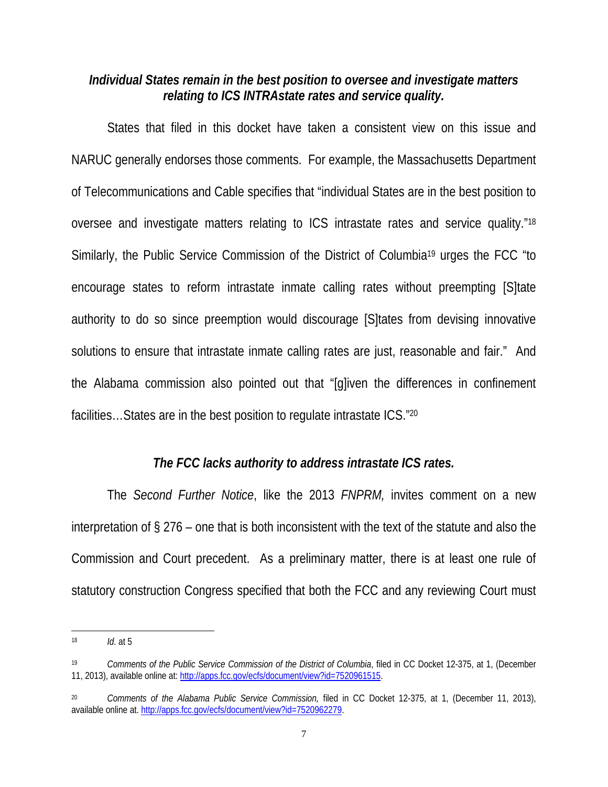#### *Individual States remain in the best position to oversee and investigate matters relating to ICS INTRAstate rates and service quality.*

States that filed in this docket have taken a consistent view on this issue and NARUC generally endorses those comments. For example, the Massachusetts Department of Telecommunications and Cable specifies that "individual States are in the best position to oversee and investigate matters relating to ICS intrastate rates and service quality."18 Similarly, the Public Service Commission of the District of Columbia19 urges the FCC "to encourage states to reform intrastate inmate calling rates without preempting [S]tate authority to do so since preemption would discourage [S]tates from devising innovative solutions to ensure that intrastate inmate calling rates are just, reasonable and fair." And the Alabama commission also pointed out that "[g]iven the differences in confinement facilities…States are in the best position to regulate intrastate ICS."20

## *The FCC lacks authority to address intrastate ICS rates.*

The *Second Further Notice*, like the 2013 *FNPRM,* invites comment on a new interpretation of § 276 – one that is both inconsistent with the text of the statute and also the Commission and Court precedent. As a preliminary matter, there is at least one rule of statutory construction Congress specified that both the FCC and any reviewing Court must

 $\overline{a}$ 

<sup>18</sup> *Id*. at 5

<sup>19</sup> *Comments of the Public Service Commission of the District of Columbia*, filed in CC Docket 12-375, at 1, (December 11, 2013), available online at: http://apps.fcc.gov/ecfs/document/view?id=7520961515.

<sup>20</sup> *Comments of the Alabama Public Service Commission,* filed in CC Docket 12-375, at 1, (December 11, 2013), available online at. http://apps.fcc.gov/ecfs/document/view?id=7520962279.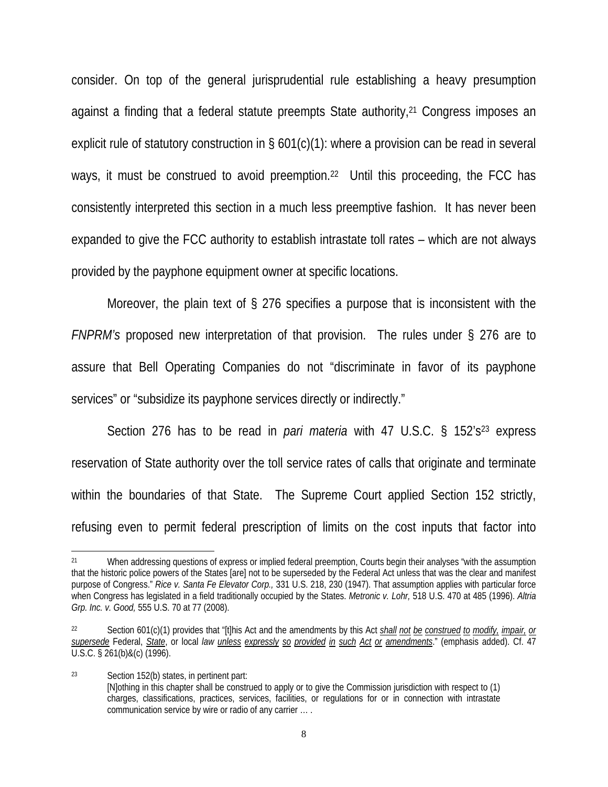consider. On top of the general jurisprudential rule establishing a heavy presumption against a finding that a federal statute preempts State authority, <sup>21</sup> Congress imposes an explicit rule of statutory construction in § 601(c)(1): where a provision can be read in several ways, it must be construed to avoid preemption.<sup>22</sup> Until this proceeding, the FCC has consistently interpreted this section in a much less preemptive fashion. It has never been expanded to give the FCC authority to establish intrastate toll rates – which are not always provided by the payphone equipment owner at specific locations.

Moreover, the plain text of § 276 specifies a purpose that is inconsistent with the *FNPRM's* proposed new interpretation of that provision. The rules under § 276 are to assure that Bell Operating Companies do not "discriminate in favor of its payphone services" or "subsidize its payphone services directly or indirectly."

Section 276 has to be read in *pari materia* with 47 U.S.C. § 152's23 express reservation of State authority over the toll service rates of calls that originate and terminate within the boundaries of that State. The Supreme Court applied Section 152 strictly, refusing even to permit federal prescription of limits on the cost inputs that factor into

 $\overline{\phantom{a}}$ 

23 Section 152(b) states, in pertinent part: [N]othing in this chapter shall be construed to apply or to give the Commission jurisdiction with respect to (1) charges, classifications, practices, services, facilities, or regulations for or in connection with intrastate communication service by wire or radio of any carrier … .

<sup>&</sup>lt;sup>21</sup> When addressing questions of express or implied federal preemption, Courts begin their analyses "with the assumption that the historic police powers of the States [are] not to be superseded by the Federal Act unless that was the clear and manifest purpose of Congress." *Rice v. Santa Fe Elevator Corp.,* 331 U.S. 218, 230 (1947). That assumption applies with particular force when Congress has legislated in a field traditionally occupied by the States. *Metronic v. Lohr,* 518 U.S. 470 at 485 (1996). *Altria Grp. Inc. v. Good,* 555 U.S. 70 at 77 (2008).

<sup>22</sup> Section 601(c)(1) provides that "[t]his Act and the amendments by this Act *shall not be construed to modify, impair, or supersede* Federal, *State*, or local *law unless expressly so provided in such Act or amendments*." (emphasis added). Cf. 47 U.S.C. § 261(b)&(c) (1996).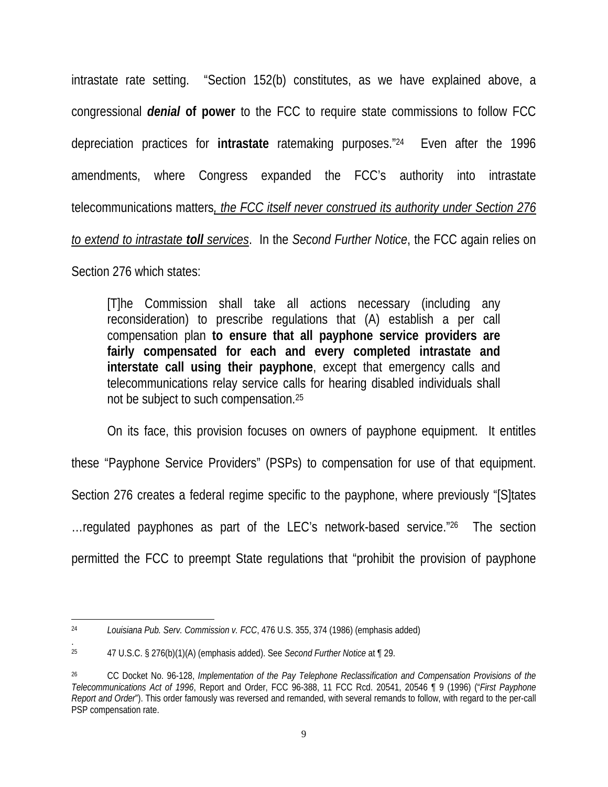intrastate rate setting. "Section 152(b) constitutes, as we have explained above, a congressional *denial* **of power** to the FCC to require state commissions to follow FCC depreciation practices for **intrastate** ratemaking purposes."24 Even after the 1996 amendments, where Congress expanded the FCC's authority into intrastate telecommunications matters*, the FCC itself never construed its authority under Section 276* 

*to extend to intrastate toll services*. In the *Second Further Notice*, the FCC again relies on

Section 276 which states:

[T]he Commission shall take all actions necessary (including any reconsideration) to prescribe regulations that (A) establish a per call compensation plan **to ensure that all payphone service providers are fairly compensated for each and every completed intrastate and interstate call using their payphone**, except that emergency calls and telecommunications relay service calls for hearing disabled individuals shall not be subject to such compensation.25

On its face, this provision focuses on owners of payphone equipment. It entitles

these "Payphone Service Providers" (PSPs) to compensation for use of that equipment.

Section 276 creates a federal regime specific to the payphone, where previously "[S]tates

…regulated payphones as part of the LEC's network-based service."26 The section

permitted the FCC to preempt State regulations that "prohibit the provision of payphone

 $\overline{\phantom{a}}$ 24 *Louisiana Pub. Serv. Commission v. FCC*, 476 U.S. 355, 374 (1986) (emphasis added)

<sup>.</sup>  25 47 U.S.C. § 276(b)(1)(A) (emphasis added). See *Second Further Notice* at ¶ 29.

<sup>26</sup> CC Docket No. 96-128, *Implementation of the Pay Telephone Reclassification and Compensation Provisions of the Telecommunications Act of 1996*, Report and Order, FCC 96-388, 11 FCC Rcd. 20541, 20546 ¶ 9 (1996) ("*First Payphone Report and Order*"). This order famously was reversed and remanded, with several remands to follow, with regard to the per-call PSP compensation rate.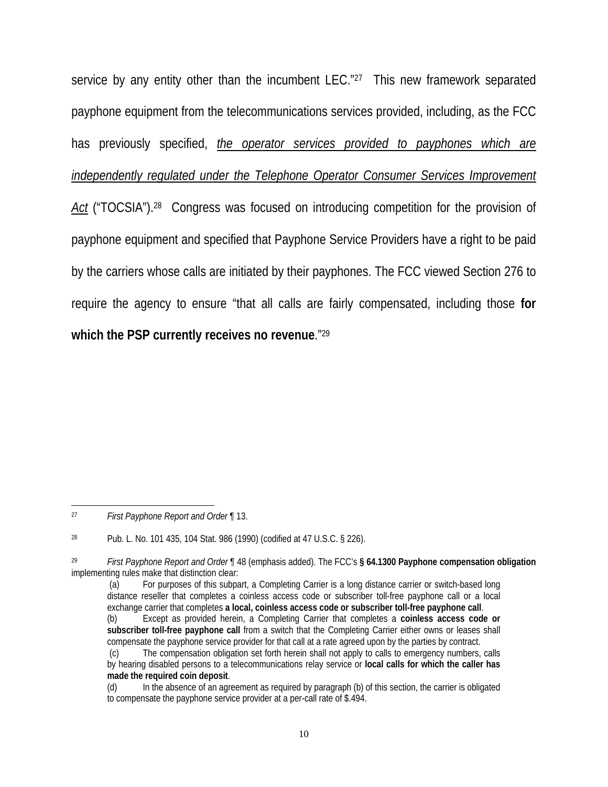service by any entity other than the incumbent LEC."<sup>27</sup> This new framework separated payphone equipment from the telecommunications services provided, including, as the FCC has previously specified, *the operator services provided to payphones which are independently regulated under the Telephone Operator Consumer Services Improvement* Act ("TOCSIA").<sup>28</sup> Congress was focused on introducing competition for the provision of payphone equipment and specified that Payphone Service Providers have a right to be paid by the carriers whose calls are initiated by their payphones. The FCC viewed Section 276 to require the agency to ensure "that all calls are fairly compensated, including those **for which the PSP currently receives no revenue**."29

 $\overline{\phantom{a}}$ 

<sup>27</sup> *First Payphone Report and Order* ¶ 13.

<sup>28</sup> Pub. L. No. 101 435, 104 Stat. 986 (1990) (codified at 47 U.S.C. § 226).

<sup>29</sup> *First Payphone Report and Order* ¶ 48 (emphasis added). The FCC's **§ 64.1300 Payphone compensation obligation**  implementing rules make that distinction clear:

 <sup>(</sup>a) For purposes of this subpart, a Completing Carrier is a long distance carrier or switch-based long distance reseller that completes a coinless access code or subscriber toll-free payphone call or a local exchange carrier that completes **a local, coinless access code or subscriber toll-free payphone call**. (b) Except as provided herein, a Completing Carrier that completes a **coinless access code or** 

**subscriber toll-free payphone call** from a switch that the Completing Carrier either owns or leases shall compensate the payphone service provider for that call at a rate agreed upon by the parties by contract.

 <sup>(</sup>c) The compensation obligation set forth herein shall not apply to calls to emergency numbers, calls by hearing disabled persons to a telecommunications relay service or **local calls for which the caller has made the required coin deposit**.

<sup>(</sup>d) In the absence of an agreement as required by paragraph (b) of this section, the carrier is obligated to compensate the payphone service provider at a per-call rate of \$.494.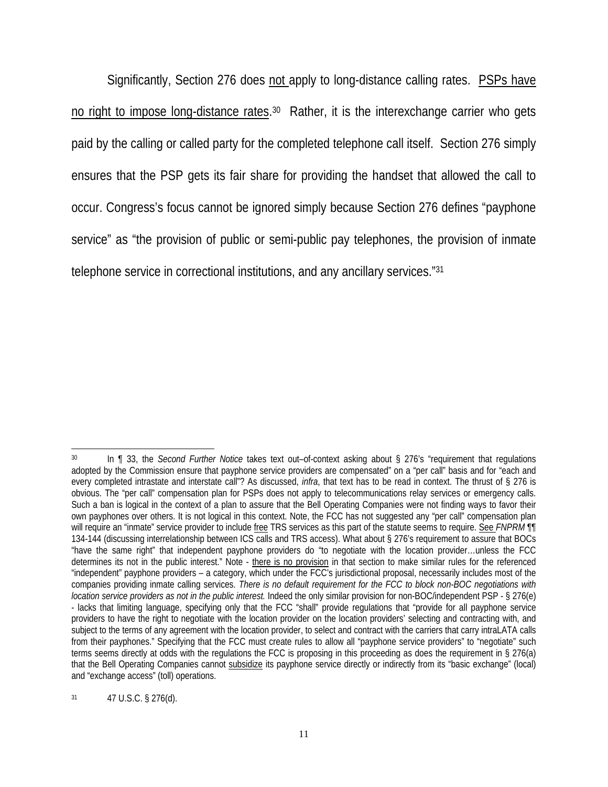Significantly, Section 276 does not apply to long-distance calling rates. PSPs have no right to impose long-distance rates.<sup>30</sup> Rather, it is the interexchange carrier who gets paid by the calling or called party for the completed telephone call itself. Section 276 simply ensures that the PSP gets its fair share for providing the handset that allowed the call to occur. Congress's focus cannot be ignored simply because Section 276 defines "payphone service" as "the provision of public or semi-public pay telephones, the provision of inmate telephone service in correctional institutions, and any ancillary services."31

 $\overline{\phantom{a}}$ 30 In ¶ 33, the *Second Further Notice* takes text out–of-context asking about § 276's "requirement that regulations adopted by the Commission ensure that payphone service providers are compensated" on a "per call" basis and for "each and every completed intrastate and interstate call"? As discussed, *infra*, that text has to be read in context. The thrust of § 276 is obvious. The "per call" compensation plan for PSPs does not apply to telecommunications relay services or emergency calls. Such a ban is logical in the context of a plan to assure that the Bell Operating Companies were not finding ways to favor their own payphones over others. It is not logical in this context. Note, the FCC has not suggested any "per call" compensation plan will require an "inmate" service provider to include free TRS services as this part of the statute seems to require. See *FNPRM* ¶ 134-144 (discussing interrelationship between ICS calls and TRS access). What about § 276's requirement to assure that BOCs "have the same right" that independent payphone providers do "to negotiate with the location provider…unless the FCC determines its not in the public interest." Note - there is no provision in that section to make similar rules for the referenced "independent" payphone providers – a category, which under the FCC's jurisdictional proposal, necessarily includes most of the companies providing inmate calling services. *There is no default requirement for the FCC to block non-BOC negotiations with location service providers as not in the public interest.* Indeed the only similar provision for non-BOC/independent PSP - § 276(e) - lacks that limiting language, specifying only that the FCC "shall" provide regulations that "provide for all payphone service providers to have the right to negotiate with the location provider on the location providers' selecting and contracting with, and subject to the terms of any agreement with the location provider, to select and contract with the carriers that carry intraLATA calls from their payphones." Specifying that the FCC must create rules to allow all "payphone service providers" to "negotiate" such terms seems directly at odds with the regulations the FCC is proposing in this proceeding as does the requirement in § 276(a) that the Bell Operating Companies cannot subsidize its payphone service directly or indirectly from its "basic exchange" (local) and "exchange access" (toll) operations.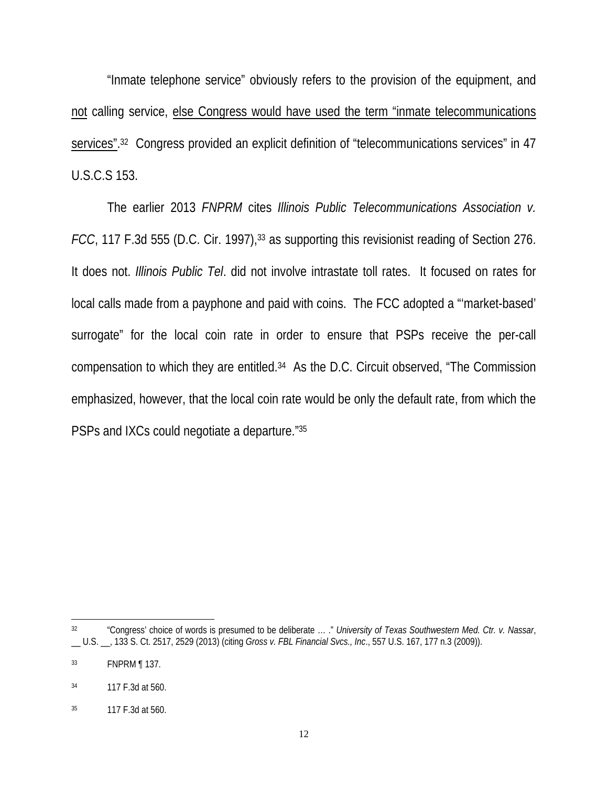"Inmate telephone service" obviously refers to the provision of the equipment, and not calling service, else Congress would have used the term "inmate telecommunications services".<sup>32</sup> Congress provided an explicit definition of "telecommunications services" in 47 U.S.C.S 153.

The earlier 2013 *FNPRM* cites *Illinois Public Telecommunications Association v. FCC*, 117 F.3d 555 (D.C. Cir. 1997),<sup>33</sup> as supporting this revisionist reading of Section 276. It does not. *Illinois Public Tel*. did not involve intrastate toll rates. It focused on rates for local calls made from a payphone and paid with coins. The FCC adopted a "'market-based' surrogate" for the local coin rate in order to ensure that PSPs receive the per-call compensation to which they are entitled.34 As the D.C. Circuit observed, "The Commission emphasized, however, that the local coin rate would be only the default rate, from which the PSPs and IXCs could negotiate a departure."35

 $\overline{\phantom{a}}$ 

<sup>32 &</sup>quot;Congress' choice of words is presumed to be deliberate … ." *University of Texas Southwestern Med. Ctr. v. Nassar*, \_\_ U.S. \_\_, 133 S. Ct. 2517, 2529 (2013) (citing *Gross v. FBL Financial Svcs., Inc*., 557 U.S. 167, 177 n.3 (2009)).

<sup>33</sup> FNPRM ¶ 137.

<sup>34 117</sup> F.3d at 560.

<sup>35 117</sup> F.3d at 560.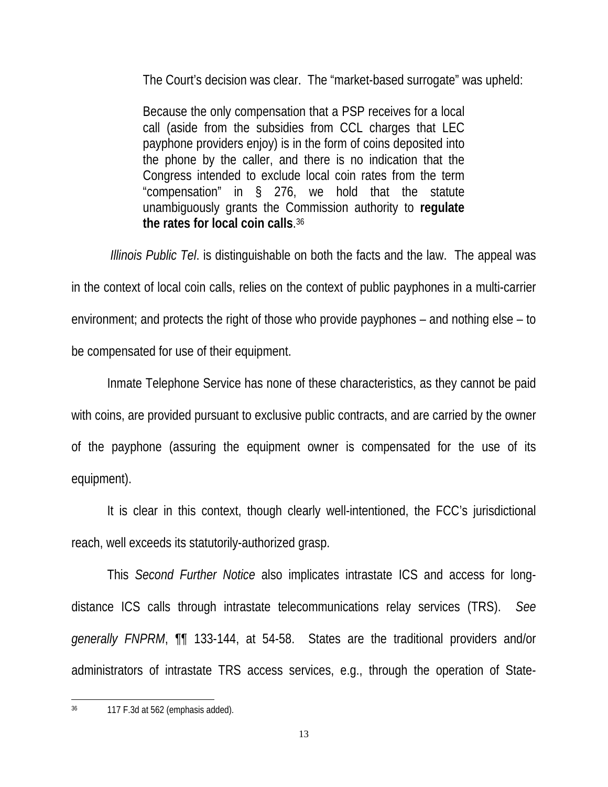The Court's decision was clear. The "market-based surrogate" was upheld:

Because the only compensation that a PSP receives for a local call (aside from the subsidies from CCL charges that LEC payphone providers enjoy) is in the form of coins deposited into the phone by the caller, and there is no indication that the Congress intended to exclude local coin rates from the term "compensation" in § 276, we hold that the statute unambiguously grants the Commission authority to **regulate the rates for local coin calls**. 36

*Illinois Public Tel*. is distinguishable on both the facts and the law. The appeal was in the context of local coin calls, relies on the context of public payphones in a multi-carrier environment; and protects the right of those who provide payphones – and nothing else – to be compensated for use of their equipment.

Inmate Telephone Service has none of these characteristics, as they cannot be paid with coins, are provided pursuant to exclusive public contracts, and are carried by the owner of the payphone (assuring the equipment owner is compensated for the use of its equipment).

It is clear in this context, though clearly well-intentioned, the FCC's jurisdictional reach, well exceeds its statutorily-authorized grasp.

This *Second Further Notice* also implicates intrastate ICS and access for longdistance ICS calls through intrastate telecommunications relay services (TRS). *See generally FNPRM*, ¶¶ 133-144, at 54-58. States are the traditional providers and/or administrators of intrastate TRS access services, e.g., through the operation of State-

 $\overline{\phantom{a}}$ 36 117 F.3d at 562 (emphasis added).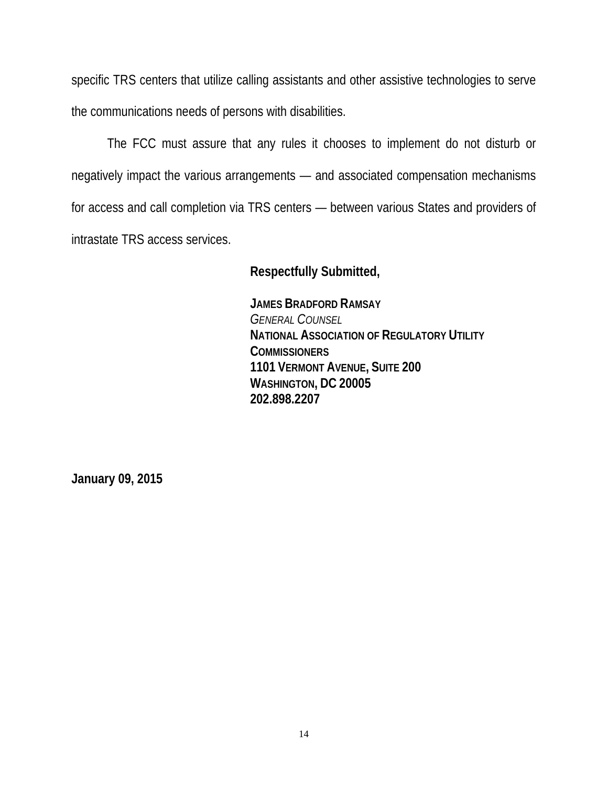specific TRS centers that utilize calling assistants and other assistive technologies to serve the communications needs of persons with disabilities.

The FCC must assure that any rules it chooses to implement do not disturb or negatively impact the various arrangements — and associated compensation mechanisms for access and call completion via TRS centers — between various States and providers of intrastate TRS access services.

#### **Respectfully Submitted,**

**JAMES BRADFORD RAMSAY**  *GENERAL COUNSEL* **NATIONAL ASSOCIATION OF REGULATORY UTILITY COMMISSIONERS 1101 VERMONT AVENUE, SUITE 200 WASHINGTON, DC 20005 202.898.2207** 

**January 09, 2015**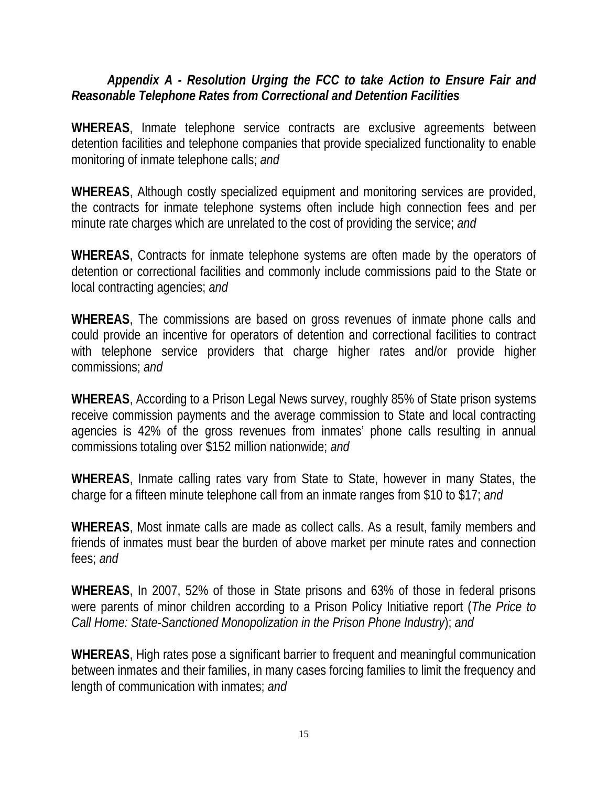## *Appendix A - Resolution Urging the FCC to take Action to Ensure Fair and Reasonable Telephone Rates from Correctional and Detention Facilities*

**WHEREAS**, Inmate telephone service contracts are exclusive agreements between detention facilities and telephone companies that provide specialized functionality to enable monitoring of inmate telephone calls; *and* 

**WHEREAS**, Although costly specialized equipment and monitoring services are provided, the contracts for inmate telephone systems often include high connection fees and per minute rate charges which are unrelated to the cost of providing the service; *and* 

**WHEREAS**, Contracts for inmate telephone systems are often made by the operators of detention or correctional facilities and commonly include commissions paid to the State or local contracting agencies; *and* 

**WHEREAS**, The commissions are based on gross revenues of inmate phone calls and could provide an incentive for operators of detention and correctional facilities to contract with telephone service providers that charge higher rates and/or provide higher commissions; *and* 

**WHEREAS**, According to a Prison Legal News survey, roughly 85% of State prison systems receive commission payments and the average commission to State and local contracting agencies is 42% of the gross revenues from inmates' phone calls resulting in annual commissions totaling over \$152 million nationwide; *and* 

**WHEREAS**, Inmate calling rates vary from State to State, however in many States, the charge for a fifteen minute telephone call from an inmate ranges from \$10 to \$17; *and* 

**WHEREAS**, Most inmate calls are made as collect calls. As a result, family members and friends of inmates must bear the burden of above market per minute rates and connection fees; *and* 

**WHEREAS**, In 2007, 52% of those in State prisons and 63% of those in federal prisons were parents of minor children according to a Prison Policy Initiative report (*The Price to Call Home: State-Sanctioned Monopolization in the Prison Phone Industry*); *and* 

**WHEREAS**, High rates pose a significant barrier to frequent and meaningful communication between inmates and their families, in many cases forcing families to limit the frequency and length of communication with inmates; *and*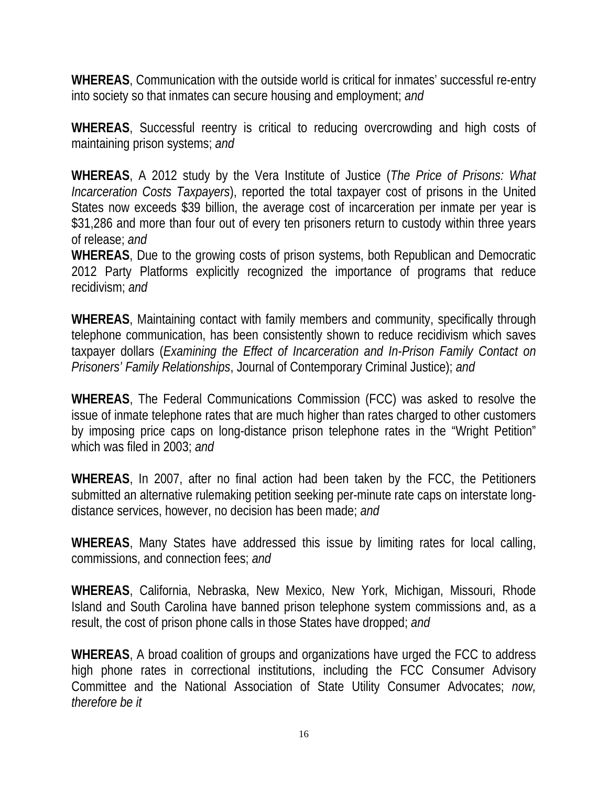**WHEREAS**, Communication with the outside world is critical for inmates' successful re-entry into society so that inmates can secure housing and employment; *and* 

**WHEREAS**, Successful reentry is critical to reducing overcrowding and high costs of maintaining prison systems; *and*

**WHEREAS**, A 2012 study by the Vera Institute of Justice (*The Price of Prisons: What Incarceration Costs Taxpayers*), reported the total taxpayer cost of prisons in the United States now exceeds \$39 billion, the average cost of incarceration per inmate per year is \$31,286 and more than four out of every ten prisoners return to custody within three years of release; *and* 

**WHEREAS**, Due to the growing costs of prison systems, both Republican and Democratic 2012 Party Platforms explicitly recognized the importance of programs that reduce recidivism; *and* 

**WHEREAS**, Maintaining contact with family members and community, specifically through telephone communication, has been consistently shown to reduce recidivism which saves taxpayer dollars (*Examining the Effect of Incarceration and In-Prison Family Contact on Prisoners' Family Relationships*, Journal of Contemporary Criminal Justice); *and* 

**WHEREAS**, The Federal Communications Commission (FCC) was asked to resolve the issue of inmate telephone rates that are much higher than rates charged to other customers by imposing price caps on long-distance prison telephone rates in the "Wright Petition" which was filed in 2003; *and* 

**WHEREAS**, In 2007, after no final action had been taken by the FCC, the Petitioners submitted an alternative rulemaking petition seeking per-minute rate caps on interstate longdistance services, however, no decision has been made; *and* 

**WHEREAS**, Many States have addressed this issue by limiting rates for local calling, commissions, and connection fees; *and* 

**WHEREAS**, California, Nebraska, New Mexico, New York, Michigan, Missouri, Rhode Island and South Carolina have banned prison telephone system commissions and, as a result, the cost of prison phone calls in those States have dropped; *and* 

**WHEREAS**, A broad coalition of groups and organizations have urged the FCC to address high phone rates in correctional institutions, including the FCC Consumer Advisory Committee and the National Association of State Utility Consumer Advocates; *now, therefore be it*